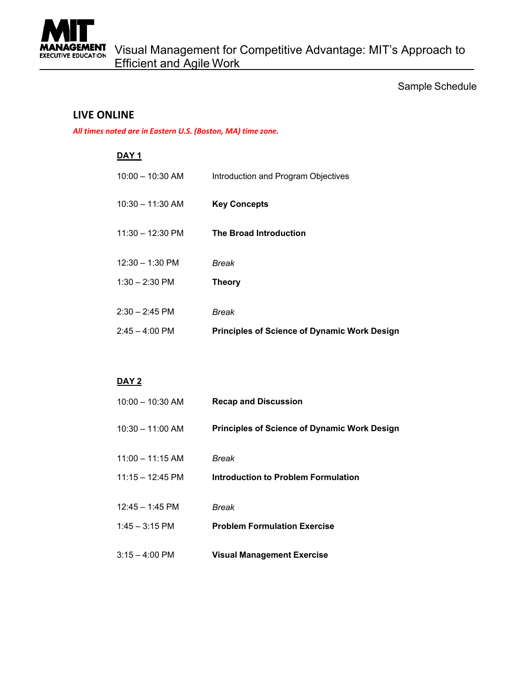

## **LIVE ONLINE**

*All times noted are in Eastern U.S. (Boston, MA) time zone.*

#### **DAY 1**

| $2:45 - 4:00 \text{ PM}$   | <b>Principles of Science of Dynamic Work Design</b> |
|----------------------------|-----------------------------------------------------|
| $2:30 - 2:45$ PM           | Break                                               |
| $1:30 - 2:30$ PM           | <b>Theory</b>                                       |
| $12:30 - 1:30$ PM          | Break                                               |
| $11:30 - 12:30 \text{ PM}$ | <b>The Broad Introduction</b>                       |
| $10:30 - 11:30$ AM         | <b>Key Concepts</b>                                 |
| $10:00 - 10:30$ AM         | Introduction and Program Objectives                 |

### **DAY 2**

| $10:00 - 10:30$ AM         | <b>Recap and Discussion</b>                         |
|----------------------------|-----------------------------------------------------|
| $10:30 - 11:00$ AM         | <b>Principles of Science of Dynamic Work Design</b> |
| $11:00 - 11:15$ AM         | Break                                               |
| $11:15 - 12:45 \text{ PM}$ | Introduction to Problem Formulation                 |
| $12:45 - 1:45$ PM          | Break                                               |
| $1:45 - 3:15 \text{ PM}$   | <b>Problem Formulation Exercise</b>                 |
| $3:15 - 4:00 \text{ PM}$   | <b>Visual Management Exercise</b>                   |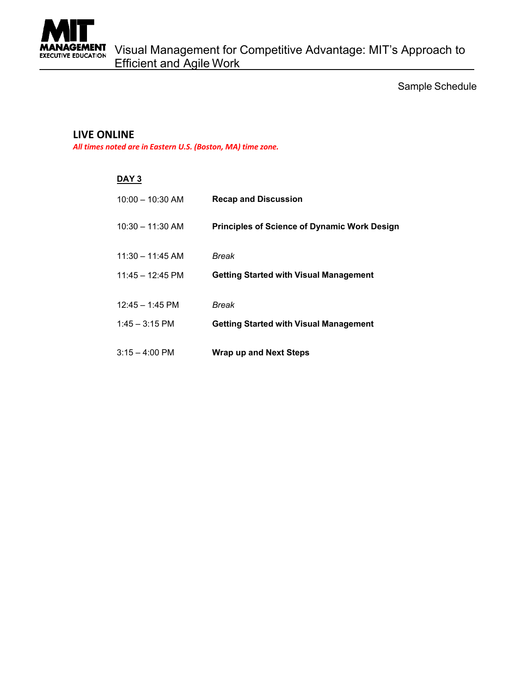

# **LIVE ONLINE**

*All times noted are in Eastern U.S. (Boston, MA) time zone.*

| DAY 3                      |                                                     |
|----------------------------|-----------------------------------------------------|
| $10:00 - 10:30$ AM         | <b>Recap and Discussion</b>                         |
| $10:30 - 11:30$ AM         | <b>Principles of Science of Dynamic Work Design</b> |
| $11:30 - 11:45$ AM         | Break                                               |
| $11:45 - 12:45 \text{ PM}$ | <b>Getting Started with Visual Management</b>       |
| $12:45 - 1:45$ PM          | Break                                               |
| $1:45 - 3:15$ PM           | <b>Getting Started with Visual Management</b>       |
| $3:15 - 4:00 \text{ PM}$   | <b>Wrap up and Next Steps</b>                       |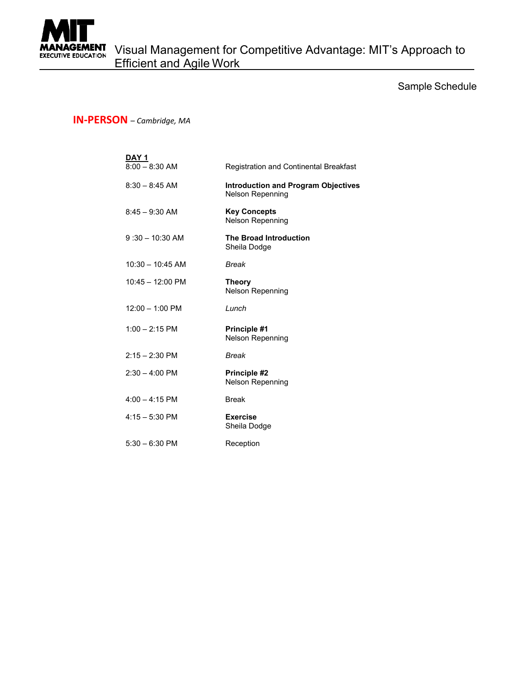

## **IN-PERSON** – *Cambridge, MA*

| <u>DAY 1</u>              |                                                                |
|---------------------------|----------------------------------------------------------------|
| $8:00 - 8:30$ AM          | Registration and Continental Breakfast                         |
| $8:30 - 8:45$ AM          | <b>Introduction and Program Objectives</b><br>Nelson Repenning |
| $8:45 - 9:30$ AM          | <b>Key Concepts</b><br>Nelson Repenning                        |
| $9:30 - 10:30$ AM         | <b>The Broad Introduction</b><br>Sheila Dodge                  |
| $10:30 - 10:45$ AM        | <b>Break</b>                                                   |
| $10:45 - 12:00$ PM        | <b>Theory</b><br>Nelson Repenning                              |
| $12:00 - 1:00 \text{ PM}$ | Lunch                                                          |
| $1:00 - 2:15$ PM          | <b>Principle #1</b><br><b>Nelson Repenning</b>                 |
| $2:15 - 2:30$ PM          | <b>Break</b>                                                   |
| $2:30 - 4:00$ PM          | <b>Principle #2</b><br>Nelson Repenning                        |
| $4:00 - 4:15$ PM          | <b>Break</b>                                                   |
| $4:15 - 5:30$ PM          | <b>Exercise</b><br>Sheila Dodge                                |
| $5:30 - 6:30$ PM          | Reception                                                      |